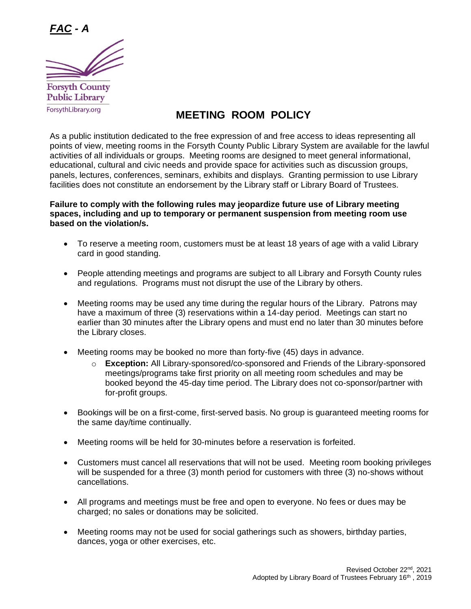

## **MEETING ROOM POLICY**

As a public institution dedicated to the free expression of and free access to ideas representing all points of view, meeting rooms in the Forsyth County Public Library System are available for the lawful activities of all individuals or groups. Meeting rooms are designed to meet general informational, educational, cultural and civic needs and provide space for activities such as discussion groups, panels, lectures, conferences, seminars, exhibits and displays. Granting permission to use Library facilities does not constitute an endorsement by the Library staff or Library Board of Trustees.

## **Failure to comply with the following rules may jeopardize future use of Library meeting spaces, including and up to temporary or permanent suspension from meeting room use based on the violation/s.**

- To reserve a meeting room, customers must be at least 18 years of age with a valid Library card in good standing.
- People attending meetings and programs are subject to all Library and Forsyth County rules and regulations. Programs must not disrupt the use of the Library by others.
- Meeting rooms may be used any time during the regular hours of the Library. Patrons may have a maximum of three (3) reservations within a 14-day period. Meetings can start no earlier than 30 minutes after the Library opens and must end no later than 30 minutes before the Library closes.
- Meeting rooms may be booked no more than forty-five (45) days in advance.
	- o **Exception:** All Library-sponsored/co-sponsored and Friends of the Library-sponsored meetings/programs take first priority on all meeting room schedules and may be booked beyond the 45-day time period. The Library does not co-sponsor/partner with for-profit groups.
- Bookings will be on a first-come, first-served basis. No group is guaranteed meeting rooms for the same day/time continually.
- Meeting rooms will be held for 30-minutes before a reservation is forfeited.
- Customers must cancel all reservations that will not be used. Meeting room booking privileges will be suspended for a three (3) month period for customers with three (3) no-shows without cancellations.
- All programs and meetings must be free and open to everyone. No fees or dues may be charged; no sales or donations may be solicited.
- Meeting rooms may not be used for social gatherings such as showers, birthday parties, dances, yoga or other exercises, etc.